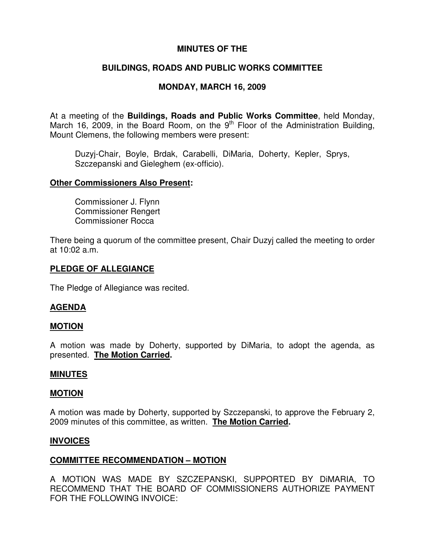## **MINUTES OF THE**

# **BUILDINGS, ROADS AND PUBLIC WORKS COMMITTEE**

# **MONDAY, MARCH 16, 2009**

At a meeting of the **Buildings, Roads and Public Works Committee**, held Monday, March 16, 2009, in the Board Room, on the  $9<sup>th</sup>$  Floor of the Administration Building, Mount Clemens, the following members were present:

Duzyj-Chair, Boyle, Brdak, Carabelli, DiMaria, Doherty, Kepler, Sprys, Szczepanski and Gieleghem (ex-officio).

## **Other Commissioners Also Present:**

Commissioner J. Flynn Commissioner Rengert Commissioner Rocca

There being a quorum of the committee present, Chair Duzyj called the meeting to order at 10:02 a.m.

## **PLEDGE OF ALLEGIANCE**

The Pledge of Allegiance was recited.

## **AGENDA**

### **MOTION**

A motion was made by Doherty, supported by DiMaria, to adopt the agenda, as presented. **The Motion Carried.**

### **MINUTES**

### **MOTION**

A motion was made by Doherty, supported by Szczepanski, to approve the February 2, 2009 minutes of this committee, as written. **The Motion Carried.**

### **INVOICES**

## **COMMITTEE RECOMMENDATION – MOTION**

A MOTION WAS MADE BY SZCZEPANSKI, SUPPORTED BY DiMARIA, TO RECOMMEND THAT THE BOARD OF COMMISSIONERS AUTHORIZE PAYMENT FOR THE FOLLOWING INVOICE: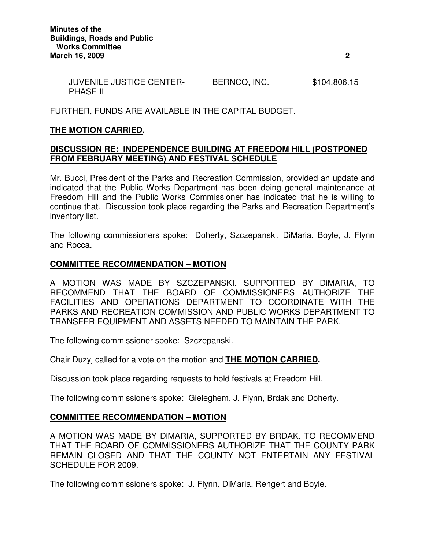| <b>JUVENILE JUSTICE CENTER-</b> | BERNCO, INC. | \$104,806.15 |
|---------------------------------|--------------|--------------|
| <b>PHASE II</b>                 |              |              |

FURTHER, FUNDS ARE AVAILABLE IN THE CAPITAL BUDGET.

## **THE MOTION CARRIED.**

## **DISCUSSION RE: INDEPENDENCE BUILDING AT FREEDOM HILL (POSTPONED FROM FEBRUARY MEETING) AND FESTIVAL SCHEDULE**

Mr. Bucci, President of the Parks and Recreation Commission, provided an update and indicated that the Public Works Department has been doing general maintenance at Freedom Hill and the Public Works Commissioner has indicated that he is willing to continue that. Discussion took place regarding the Parks and Recreation Department's inventory list.

The following commissioners spoke: Doherty, Szczepanski, DiMaria, Boyle, J. Flynn and Rocca.

### **COMMITTEE RECOMMENDATION – MOTION**

A MOTION WAS MADE BY SZCZEPANSKI, SUPPORTED BY DiMARIA, TO RECOMMEND THAT THE BOARD OF COMMISSIONERS AUTHORIZE THE FACILITIES AND OPERATIONS DEPARTMENT TO COORDINATE WITH THE PARKS AND RECREATION COMMISSION AND PUBLIC WORKS DEPARTMENT TO TRANSFER EQUIPMENT AND ASSETS NEEDED TO MAINTAIN THE PARK.

The following commissioner spoke: Szczepanski.

Chair Duzyj called for a vote on the motion and **THE MOTION CARRIED.**

Discussion took place regarding requests to hold festivals at Freedom Hill.

The following commissioners spoke: Gieleghem, J. Flynn, Brdak and Doherty.

## **COMMITTEE RECOMMENDATION – MOTION**

A MOTION WAS MADE BY DiMARIA, SUPPORTED BY BRDAK, TO RECOMMEND THAT THE BOARD OF COMMISSIONERS AUTHORIZE THAT THE COUNTY PARK REMAIN CLOSED AND THAT THE COUNTY NOT ENTERTAIN ANY FESTIVAL SCHEDULE FOR 2009.

The following commissioners spoke: J. Flynn, DiMaria, Rengert and Boyle.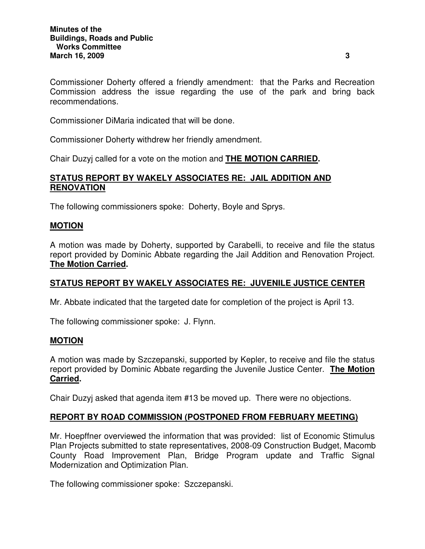Commissioner Doherty offered a friendly amendment: that the Parks and Recreation Commission address the issue regarding the use of the park and bring back recommendations.

Commissioner DiMaria indicated that will be done.

Commissioner Doherty withdrew her friendly amendment.

Chair Duzyj called for a vote on the motion and **THE MOTION CARRIED.**

## **STATUS REPORT BY WAKELY ASSOCIATES RE: JAIL ADDITION AND RENOVATION**

The following commissioners spoke: Doherty, Boyle and Sprys.

## **MOTION**

A motion was made by Doherty, supported by Carabelli, to receive and file the status report provided by Dominic Abbate regarding the Jail Addition and Renovation Project. **The Motion Carried.**

## **STATUS REPORT BY WAKELY ASSOCIATES RE: JUVENILE JUSTICE CENTER**

Mr. Abbate indicated that the targeted date for completion of the project is April 13.

The following commissioner spoke: J. Flynn.

### **MOTION**

A motion was made by Szczepanski, supported by Kepler, to receive and file the status report provided by Dominic Abbate regarding the Juvenile Justice Center. **The Motion Carried.**

Chair Duzyj asked that agenda item #13 be moved up. There were no objections.

## **REPORT BY ROAD COMMISSION (POSTPONED FROM FEBRUARY MEETING)**

Mr. Hoepffner overviewed the information that was provided: list of Economic Stimulus Plan Projects submitted to state representatives, 2008-09 Construction Budget, Macomb County Road Improvement Plan, Bridge Program update and Traffic Signal Modernization and Optimization Plan.

The following commissioner spoke: Szczepanski.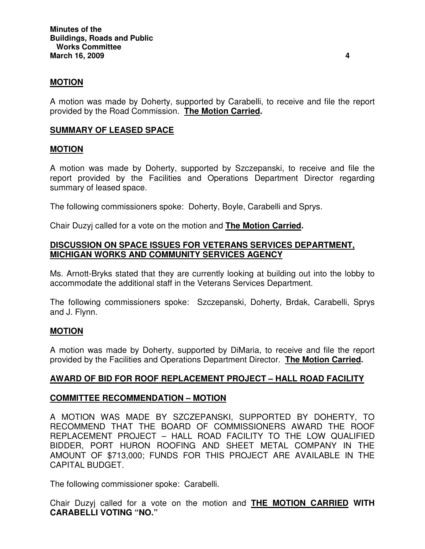### **MOTION**

A motion was made by Doherty, supported by Carabelli, to receive and file the report provided by the Road Commission. **The Motion Carried.**

## **SUMMARY OF LEASED SPACE**

#### **MOTION**

A motion was made by Doherty, supported by Szczepanski, to receive and file the report provided by the Facilities and Operations Department Director regarding summary of leased space.

The following commissioners spoke: Doherty, Boyle, Carabelli and Sprys.

Chair Duzyj called for a vote on the motion and **The Motion Carried.**

## **DISCUSSION ON SPACE ISSUES FOR VETERANS SERVICES DEPARTMENT, MICHIGAN WORKS AND COMMUNITY SERVICES AGENCY**

Ms. Arnott-Bryks stated that they are currently looking at building out into the lobby to accommodate the additional staff in the Veterans Services Department.

The following commissioners spoke: Szczepanski, Doherty, Brdak, Carabelli, Sprys and J. Flynn.

### **MOTION**

A motion was made by Doherty, supported by DiMaria, to receive and file the report provided by the Facilities and Operations Department Director. **The Motion Carried.**

## **AWARD OF BID FOR ROOF REPLACEMENT PROJECT – HALL ROAD FACILITY**

### **COMMITTEE RECOMMENDATION – MOTION**

A MOTION WAS MADE BY SZCZEPANSKI, SUPPORTED BY DOHERTY, TO RECOMMEND THAT THE BOARD OF COMMISSIONERS AWARD THE ROOF REPLACEMENT PROJECT – HALL ROAD FACILITY TO THE LOW QUALIFIED BIDDER, PORT HURON ROOFING AND SHEET METAL COMPANY IN THE AMOUNT OF \$713,000; FUNDS FOR THIS PROJECT ARE AVAILABLE IN THE CAPITAL BUDGET.

The following commissioner spoke: Carabelli.

Chair Duzyj called for a vote on the motion and **THE MOTION CARRIED WITH CARABELLI VOTING "NO."**